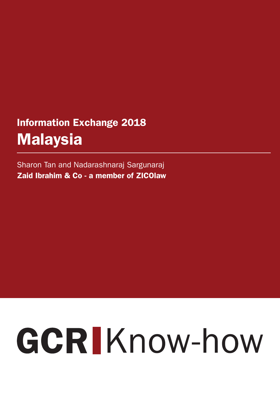## Information Exchange 2018 Malaysia

Sharon Tan and Nadarashnaraj Sargunaraj Zaid Ibrahim & Co - a member of ZICOlaw

# GCRIKnow-how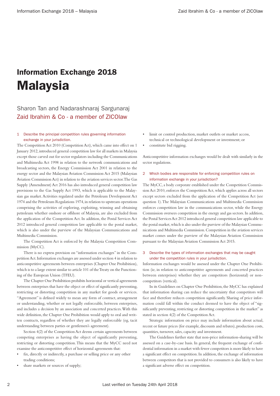### Information Exchange 2018 Malaysia

#### Sharon Tan and Nadarashnaraj Sargunaraj Zaid Ibrahim & Co - a member of ZICOlaw

#### 1 Describe the principal competition rules governing information exchange in your jurisdiction.

The Competition Act 2010 (Competition Act), which came into effect on 1 January 2012, introduced general competition law for all markets in Malaysia except those carved out for sector regulators including the Communications and Multimedia Act 1998 in relation to the network communications and broadcasting sectors, the Energy Commission Act 2001 in relation to the energy sector and the Malaysian Aviation Commission Act 2015 (Malaysian Aviation Commission Act) in relation to the aviation services sector. The Gas Supply (Amendment) Act 2016 has also introduced general competition law provisions to the Gas Supply Act 1993, which is applicable to the Malaysian gas market. Activities regulated under the Petroleum Development Act 1974 and the Petroleum Regulations 1974, in relation to upstream operations comprising the activities of exploring, exploiting, winning and obtaining petroleum whether onshore or offshore of Malaysia, are also excluded from the application of the Competition Act. In addition, the Postal Services Act 2012 introduced general competition law applicable to the postal market, which is also under the purview of the Malaysian Communications and Multimedia Commission.

The Competition Act is enforced by the Malaysia Competition Commission (MyCC).

There is no express provision on "information exchanges" in the Competition Act. Information exchanges are assessed under section 4 in relation to anticompetitive agreements between enterprises (Chapter One Prohibition), which is to a large extent similar to article 101 of the Treaty on the Functioning of the European Union (TFEU).

The Chapter One Prohibition prohibits horizontal or vertical agreements between enterprises that have the object or effect of significantly preventing, restricting or distorting competition in any market for goods or services. "Agreement" is defined widely to mean any form of contract, arrangement or understanding, whether or not legally enforceable, between enterprises, and includes a decision by an association and concerted practices. With this wide definition, the Chapter One Prohibition would apply to oral and written contracts, regardless of whether they are legally enforceable (eg, tacit understanding between parties or gentlemen's agreement).

Section 4(2) of the Competition Act deems certain agreements between competing enterprises as having the object of significantly preventing, restricting or distorting competition. This means that the MyCC need not examine the anticompetitive effect of horizontal agreements that:

- fix, directly or indirectly, a purchase or selling price or any other trading conditions;
- share markets or sources of supply;
- limit or control production, market outlets or market access, technical or technological development or investment; or
- constitute bid rigging.

Anticompetitive information exchanges would be dealt with similarly in the sector regulations.

#### 2 Which bodies are responsible for enforcing competition rules on information exchange in your jurisdiction?

The MyCC, a body corporate established under the Competition Commission Act 2010, enforces the Competition Act, which applies across all sectors except sectors excluded from the application of the Competition Act (see question 1). The Malaysian Communications and Multimedia Commission enforces competition law in the communications sector, while the Energy Commission oversees competition in the energy and gas sectors. In addition, the Postal Services Act 2012 introduced general competition law applicable to the postal market, which is also under the purview of the Malaysian Communications and Multimedia Commission. Competition in the aviation services market comes under the purview of the Malaysian Aviation Commission pursuant to the Malaysian Aviation Commission Act 2015.

#### 3 Describe the types of information exchanges that may be caught under the competition rules in your jurisdiction.

Information exchanges would be assessed under the Chapter One Prohibition (ie, in relation to anticompetitive agreements and concerted practices between enterprises) whether they are competitors (horizontal) or noncompetitors (vertical).

In its Guidelines on Chapter One Prohibition, the MyCC has explained that information sharing can reduce the uncertainty that competitors will face and therefore reduces competition significantly. Sharing of price information could fall within the conduct deemed to have the object of "significantly preventing, restricting or distorting competition in the market" as stated in section 4(2) of the Competition Act.

Strategic information on price may include information about actual, recent or future prices (for example, discounts and rebates), production costs, quantities, turnover, sales, capacity and investment.

The Guidelines further state that non-price information-sharing will be assessed on a case-by-case basis. In general, the frequent exchange of confidential information in a market with fewer competitors is more likely to have a significant effect on competition. In addition, the exchange of information between competitors that is not provided to consumers is also likely to have a significant adverse effect on competition.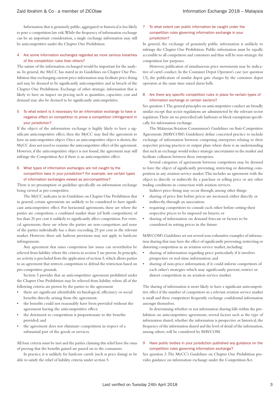Information that is genuinely public, aggregated or historical is less likely to pose a competition law risk. While the frequency of information exchange can be an important consideration, a single exchange information may still be anticompetitive under the Chapter One Prohibition.

#### Are some information exchanges regarded as more serious breaches of the competition rules than others?

The nature of the information exchanged would be important for the analysis. In general, the MyCC has stated in its Guidelines on Chapter One Prohibition that exchanging current price information may facilitate price fixing and may be deemed to be significantly anticompetitive and in breach of the Chapter One Prohibition. Exchange of other strategic information that is likely to have an impact on pricing such as quantities, capacities, cost and demand may also be deemed to be significantly anticompetitive.

#### 5 To what extent is it necessary for an information exchange to have a negative effect on competition to prove a competition infringement in your jurisdiction?

If the object of the information exchange is highly likely to have a significant anticompetitive effect, then the MyCC may find the agreement to have an anticompetitive object. Once an anticompetitive object is shown, the MyCC does not need to examine the anticompetitive effect of the agreement. However, if the anticompetitive object is not found, the agreement may still infringe the Competition Act if there is an anticompetitive effect.

#### 6 What types of information exchanges are not caught by the competition laws in your jurisdiction? For example, are certain types of information exchanges viewed as pro-competitive?

There is no presumption or guideline specifically on information exchange being viewed as pro-competitive.

The MyCC indicates in its Guidelines on Chapter One Prohibition that in general, certain agreements are unlikely to be considered to have significant anticompetitive effect. For horizontal agreements, these are where the parties are competitors, a combined market share (of both competitiors) of less than 20 per cent is unlikely to significantly affect competition. For vertical agreements, these are where the parties are non-competitors and none of the parties individually has a share exceeding 25 per cent in the relevant market. However, these safe harbour provisions may not apply to hardcore infringements.

Any agreement that raises competition law issues can nevertheless be relieved from liability where the criteria in section 5 are proven. In principle, no activity is precluded from the application of section 5, which allows parties to an agreement that restricts competition to defend the restriction based on pro-competitive grounds.

Section 5 provides that an anticompetitive agreement prohibited under the Chapter One Prohibition may be relieved from liability where all of the following criteria are proven by the parties to the agreement:

- there are significant identifiable technological, efficiency or social benefits directly arising from the agreement;
- the benefits could not reasonably have been provided without the agreement having the anticompetitive effect;
- the detriment to competition is proportionate to the benefits provided; and
- the agreement does not eliminate competition in respect of a substantial part of the goods or services.

All four criteria must be met and the parties claiming this relief have the onus of proving that the benefits gained are passed on to the consumers.

In practice, it is unlikely for hardcore cartels (such as price fixing) to be able to satisfy the relief of liability criteria under section 5.

#### 7 To what extent can public information be caught under the competition rules governing information exchange in your jurisdiction?

In general, the exchange of genuinely public information is unlikely to infringe the Chapter One Prohibition. Public information must be equally accessible to all competitors and customers and thus will be non-strategic for competition law purposes.

However, publication of simultaneous price movements may be indicative of cartel conduct. In the Container Depot Operator's case (see question 13), the publication of similar depot gate charges by the container depot operators at the same time raised alarm bells.

#### 8 Are there any specific competition rules in place for certain types of information exchange or certain sectors?

See question 1. The general principles on anticompetitive conduct are broadly similar except that sector regulations are administered by the relevant sector regulators. There are no prescribed safe harbours or block exemptions specifically for information exchange.

The Malaysian Aviation Commission's Guidelines on Anti-Competitive Agreements (MAVCOM's Guidelines) define concerted practice to include exchange of information between competing enterprises relating to their respective pricing practices or output plans where there is an understanding that such an exchange would reduce strategic uncertainties in the market and facilitate collusion between these enterprises.

Several categories of agreements between competitors may be deemed to have the object of significantly preventing, restricting or distorting competition in any aviation service market. This includes an agreement with the object to directly or indirectly fix a purchase or selling price or any other trading conditions in connection with aviation services.

Indirect price-fixing may occur through, among other things:

- sharing of price lists before prices are increased, either directly or indirectly, through an association;
- requiring competitors to consult each other before setting their respective prices to be imposed on buyers; or
- sharing of information on demand forecast or factors to be considered in setting prices in the future.

MAVCOM's Guidelines set out several non-exhaustive examples of information sharing that may have the effect of significantly preventing, restricting or distorting competition in an aviation service market, including:

- sharing of information regarding price particularly if it involves prospective or real-time information; and
- sharing of non-price information, if it could inform competitors of each other's strategies which may significantly prevent, restrict or distort competition in an aviation service market.

The sharing of information is more likely to have a significant anticompetitive effect if the number of competitors in a relevant aviation service market is small and these competitors frequently exchange confidential information amongst themselves.

In determining whether or not information sharing falls within the prohibition on anticompetitive agreements, several factors such as the type of information shared, whether the information is prospective or historical, the frequency of the information shared and the level of detail of the information, among others, will be considered by MAVCOM.

#### 9 Have public bodies in your jurisdiction published any guidance on the competition rules governing information exchange?

See question 3. The MyCC's Guidelines on Chapter One Prohibition provides guidance on information exchange under the Competition Act.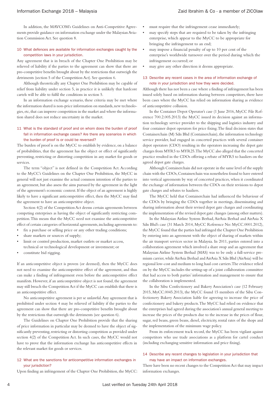In addition, the MAVCOM's Guidelines on Anti-Competitive Agreements provide guidance on information exchange under the Malaysian Aviation Commission Act. See question 8.

#### 10 What defences are available for information exchanges caught by the competition laws in your jurisdiction.

Any agreement that is in breach of the Chapter One Prohibition may be relieved of liability if the parties to the agreement can show that there are pro-competitive benefits brought about by the restrictions that outweigh the detriments (section 5 of the Competition Act). See question 6.

Although theoretically any Chapter One Prohibition may be capable of relief from liability under section 5, in practice it is unlikely that hardcore cartels will be able to fulfil the conditions in section 5.

In an information exchange scenario, these criteria may be met where the information shared is non-price information on standards, new technologies, etc, that can improve competition in the market and where the information shared does not reduce uncertainty in the market.

#### 11 What is the standard of proof and on whom does the burden of proof fall in information exchange cases? Are there any scenarios in which the burden of proof is or could be reversed?

The burden of proof is on the MyCC to establish by evidence, on a balance of probabilities, that the agreement has the object or effect of significantly preventing, restricting or distorting competition in any market for goods or services.

The term "object" is not defined in the Competition Act. According to the MyCC's Guidelines on the Chapter One Prohibition, the MyCC in general will not just examine the actual common intention of the parties to an agreement, but also assess the aims pursued by the agreement in the light of the agreement's economic context. If the object of an agreement is highly likely to have a significant anticompetitive effect, then the MyCC may find the agreement to have an anticompetitive object.

Section 4(2) of the Competition Act deems certain agreements between competing enterprises as having the object of significantly restricting competition. This means that the MyCC need not examine the anticompetitive effect of certain categories of horizontal agreements, including agreements to:

- fix a purchase or selling price or any other trading conditions;
- share markets or sources of supply;
- limit or control production, market outlets or market access. technical or technological development or investment; or
- constitute bid rigging.

If an anticompetitive object is proven (or deemed), then the MyCC does not need to examine the anticompetitive effect of the agreement, and thus can make a finding of infringement even before the anticompetitive effect manifests. However, if an anticompetitive object is not found, the agreement may still breach the Competition Act if the MyCC can establish that there is an anticompetitive effect.

No anticompetitive agreement is per se unlawful. Any agreement that is prohibited under section 4 may be relieved of liability if the parties to the agreement can show that there are pro-competitive benefits brought about by the restrictions that outweigh the detriments (see question 6).

The Guidelines on Chapter One Prohibition provide that the sharing of price information in particular may be deemed to have the object of significantly preventing, restricting or distorting competition as provided under section 4(2) of the Competition Act. In such cases, the MyCC would not have to prove that the information exchange has anticompetitive effects in the relevant market for goods or services.

#### 12 What are the sanctions for anticompetitive information exchanges in your jurisdiction?

Upon finding an infringement of the Chapter One Prohibition, the MyCC:

- must require that the infringement cease immediately;
- may specify steps that are required to be taken by the infringing enterprise, which appear to the MyCC to be appropriate for bringing the infringement to an end;
- may impose a financial penalty of up to 10 per cent of the enterprise's worldwide turnover over the period during which the infringement occurred; or
- may give any other direction it deems appropriate.

#### 13 Describe any recent cases in the area of information exchange of note in your jurisdiction and how they were decided.

Although there has not been a case where a finding of infringement has been issued solely based on information sharing between competitors, there have been cases where the MyCC has relied on information sharing as evidence of anticompetitive collusion.

In the Container Depot Operator's case (1 June 2016, MyCC File Reference 700.2.005.2013) the MyCC issued its decision against an information technology service provider to the shipping and logistics industry and four container depot operators for price fixing. The final decision states that Containerchain (M) Sdn Bhd (Containerchain), the information technology service provider, had engaged in concerted practices with several container depot operators (CDO) resulting in the operators increasing the depot gate charges from MYR5 to MYR25. The MyCC also alleged that the concerted practice resulted in the CDOs offering a rebate of MYR5 to hauliers on the agreed depot gate charges.

Although Containerchain did not operate in the same level of the supply chain with the CDOs, Containerchain was nonetheless found to have entered into vertical agreements by way of concerted practices, when it coordinated the exchange of information between the CDOs on their revisions to depot gate charges and rebates to hauliers.

The MyCC held that Containerchain had influenced the behaviour of the CDOs by bringing the CDOs together in meetings, disseminating and sharing information about their revised depot gate charges and coordinating the implementation of the revised depot gate changes (among other matters).

In the Malaysian Airline System Berhad, AirAsia Berhad and AirAsia X Sdn Bhd's case (31 March 2014, MyCC Reference No: MyCC.0001.2012), the MyCC found that the parties had infringed the Chapter One Prohibition by entering into an agreement with the object of sharing of markets within the air transport services sector in Malaysia. In 2011, parties entered into a collaboration agreement which involved a share swap and an agreement that Malaysian Airline System Berhad (MAS) was to be only a full-service premium carrier, while AirAsia Berhad and AirAsia X Sdn Bhd (AirAsia) will be regional low-cost and medium to long haul cost carriers. The evidence relied on by the MyCC includes the setting-up of a joint collaboration committee that had access to both parties' information and management to ensure that the collaboration is implemented.

In the Sibu Confectionery and Bakery Association's case (12 February 2015, MyCC.0045.2013), the MyCC found 15 members of the Sibu Confectionery Bakery Association liable for agreeing to increase the price of confectionery and bakery products. The MyCC had relied on evidence that the enterprises had agreed during the association's annual general meeting to increase the prices of the products due to the increase in the prices of flour, sugar, red beans, green beans, diesel, electricity, rental rates of the shops and the implementation of the minimum wage policy.

From its enforcement track record, the MyCC has been vigilant against competitors who use trade associations as a platform for cartel conduct (including exchanging sensitive information and price fixing).

#### 14 Describe any recent changes to legislation in your jurisdiction that may have an impact on information exchanges.

There have been no recent changes to the Competition Act that may impact information exchanges.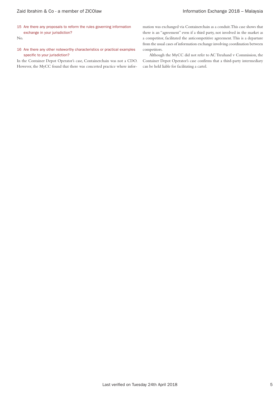15 Are there any proposals to reform the rules governing information exchange in your jurisdiction?

No.

16 Are there any other noteworthy characteristics or practical examples specific to your jurisdiction?

In the Container Depot Operator's case, Containerchain was not a CDO. However, the MyCC found that there was concerted practice where information was exchanged via Containerchain as a conduit. This case shows that there is an "agreement" even if a third party, not involved in the market as a competitor, facilitated the anticompetitive agreement. This is a departure from the usual cases of information exchange involving coordination between competitors.

Although the MyCC did not refer to AC Treuhand v Commission, the Container Depot Operator's case confirms that a third-party intermediary can be held liable for facilitating a cartel.